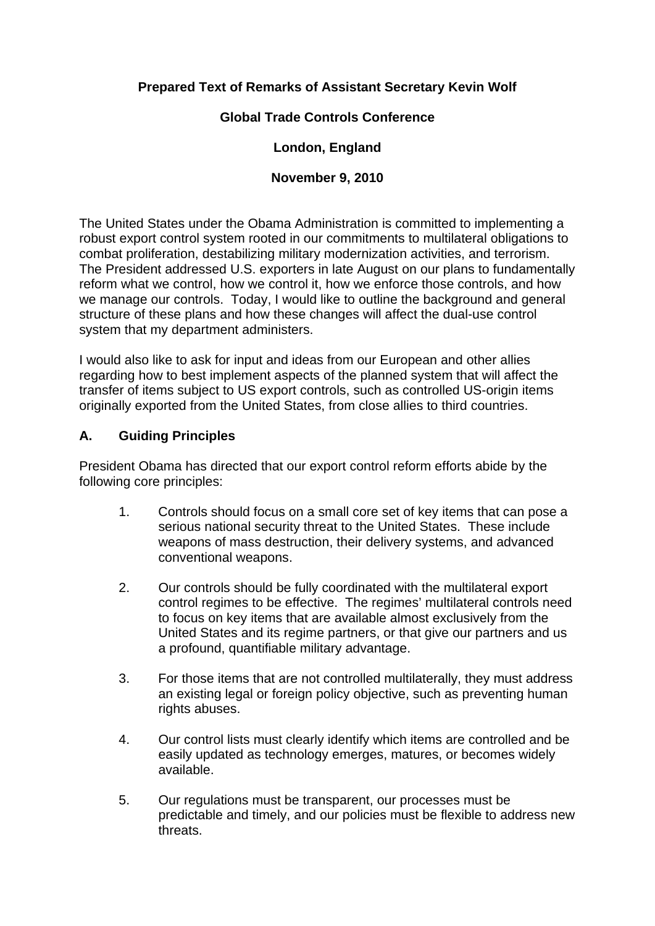# **Prepared Text of Remarks of Assistant Secretary Kevin Wolf**

### **Global Trade Controls Conference**

### **London, England**

#### **November 9, 2010**

The United States under the Obama Administration is committed to implementing a robust export control system rooted in our commitments to multilateral obligations to combat proliferation, destabilizing military modernization activities, and terrorism. The President addressed U.S. exporters in late August on our plans to fundamentally reform what we control, how we control it, how we enforce those controls, and how we manage our controls. Today, I would like to outline the background and general structure of these plans and how these changes will affect the dual-use control system that my department administers.

I would also like to ask for input and ideas from our European and other allies regarding how to best implement aspects of the planned system that will affect the transfer of items subject to US export controls, such as controlled US-origin items originally exported from the United States, from close allies to third countries.

#### **A. Guiding Principles**

President Obama has directed that our export control reform efforts abide by the following core principles:

- 1. Controls should focus on a small core set of key items that can pose a serious national security threat to the United States. These include weapons of mass destruction, their delivery systems, and advanced conventional weapons.
- 2. Our controls should be fully coordinated with the multilateral export control regimes to be effective. The regimes' multilateral controls need to focus on key items that are available almost exclusively from the United States and its regime partners, or that give our partners and us a profound, quantifiable military advantage.
- 3. For those items that are not controlled multilaterally, they must address an existing legal or foreign policy objective, such as preventing human rights abuses.
- 4. Our control lists must clearly identify which items are controlled and be easily updated as technology emerges, matures, or becomes widely available.
- 5. Our regulations must be transparent, our processes must be predictable and timely, and our policies must be flexible to address new threats.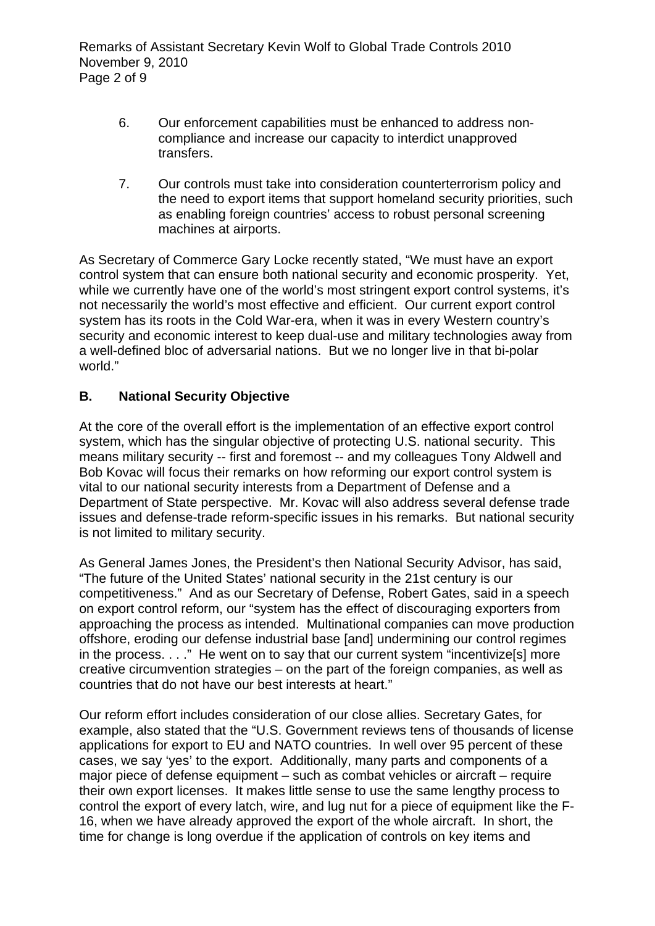- 6. Our enforcement capabilities must be enhanced to address noncompliance and increase our capacity to interdict unapproved transfers.
- 7. Our controls must take into consideration counterterrorism policy and the need to export items that support homeland security priorities, such as enabling foreign countries' access to robust personal screening machines at airports.

As Secretary of Commerce Gary Locke recently stated, "We must have an export control system that can ensure both national security and economic prosperity. Yet, while we currently have one of the world's most stringent export control systems, it's not necessarily the world's most effective and efficient. Our current export control system has its roots in the Cold War-era, when it was in every Western country's security and economic interest to keep dual-use and military technologies away from a well-defined bloc of adversarial nations. But we no longer live in that bi-polar world."

#### **B. National Security Objective**

At the core of the overall effort is the implementation of an effective export control system, which has the singular objective of protecting U.S. national security. This means military security -- first and foremost -- and my colleagues Tony Aldwell and Bob Kovac will focus their remarks on how reforming our export control system is vital to our national security interests from a Department of Defense and a Department of State perspective. Mr. Kovac will also address several defense trade issues and defense-trade reform-specific issues in his remarks. But national security is not limited to military security.

As General James Jones, the President's then National Security Advisor, has said, "The future of the United States' national security in the 21st century is our competitiveness." And as our Secretary of Defense, Robert Gates, said in a speech on export control reform, our "system has the effect of discouraging exporters from approaching the process as intended. Multinational companies can move production offshore, eroding our defense industrial base [and] undermining our control regimes in the process. . . ." He went on to say that our current system "incentivize[s] more creative circumvention strategies – on the part of the foreign companies, as well as countries that do not have our best interests at heart."

Our reform effort includes consideration of our close allies. Secretary Gates, for example, also stated that the "U.S. Government reviews tens of thousands of license applications for export to EU and NATO countries. In well over 95 percent of these cases, we say 'yes' to the export. Additionally, many parts and components of a major piece of defense equipment – such as combat vehicles or aircraft – require their own export licenses. It makes little sense to use the same lengthy process to control the export of every latch, wire, and lug nut for a piece of equipment like the F-16, when we have already approved the export of the whole aircraft. In short, the time for change is long overdue if the application of controls on key items and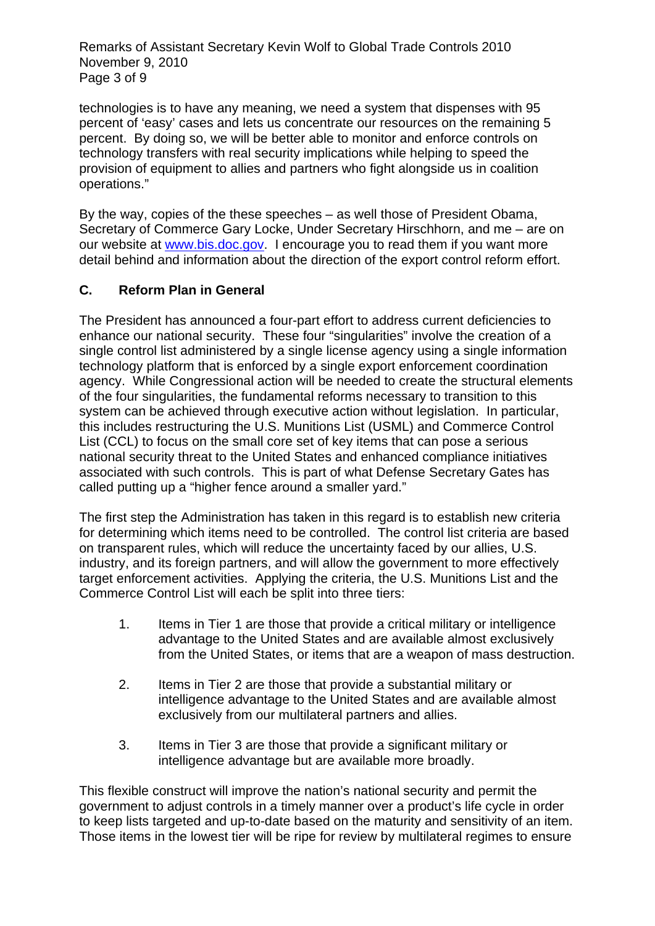Remarks of Assistant Secretary Kevin Wolf to Global Trade Controls 2010 November 9, 2010 Page 3 of 9

technologies is to have any meaning, we need a system that dispenses with 95 percent of 'easy' cases and lets us concentrate our resources on the remaining 5 percent. By doing so, we will be better able to monitor and enforce controls on technology transfers with real security implications while helping to speed the provision of equipment to allies and partners who fight alongside us in coalition operations."

By the way, copies of the these speeches – as well those of President Obama, Secretary of Commerce Gary Locke, Under Secretary Hirschhorn, and me – are on our website at [www.bis.doc.gov](http://www.bis.doc.gov/). I encourage you to read them if you want more detail behind and information about the direction of the export control reform effort.

## **C. Reform Plan in General**

The President has announced a four-part effort to address current deficiencies to enhance our national security. These four "singularities" involve the creation of a single control list administered by a single license agency using a single information technology platform that is enforced by a single export enforcement coordination agency. While Congressional action will be needed to create the structural elements of the four singularities, the fundamental reforms necessary to transition to this system can be achieved through executive action without legislation. In particular, this includes restructuring the U.S. Munitions List (USML) and Commerce Control List (CCL) to focus on the small core set of key items that can pose a serious national security threat to the United States and enhanced compliance initiatives associated with such controls. This is part of what Defense Secretary Gates has called putting up a "higher fence around a smaller yard."

The first step the Administration has taken in this regard is to establish new criteria for determining which items need to be controlled. The control list criteria are based on transparent rules, which will reduce the uncertainty faced by our allies, U.S. industry, and its foreign partners, and will allow the government to more effectively target enforcement activities. Applying the criteria, the U.S. Munitions List and the Commerce Control List will each be split into three tiers:

- 1. Items in Tier 1 are those that provide a critical military or intelligence advantage to the United States and are available almost exclusively from the United States, or items that are a weapon of mass destruction.
- 2. Items in Tier 2 are those that provide a substantial military or intelligence advantage to the United States and are available almost exclusively from our multilateral partners and allies.
- 3. Items in Tier 3 are those that provide a significant military or intelligence advantage but are available more broadly.

This flexible construct will improve the nation's national security and permit the government to adjust controls in a timely manner over a product's life cycle in order to keep lists targeted and up-to-date based on the maturity and sensitivity of an item. Those items in the lowest tier will be ripe for review by multilateral regimes to ensure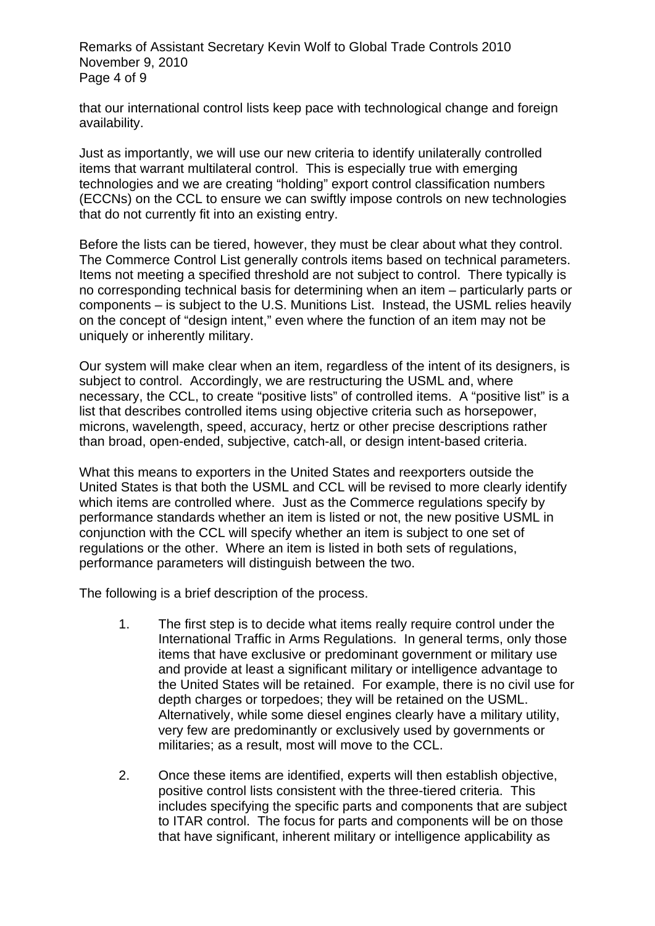Remarks of Assistant Secretary Kevin Wolf to Global Trade Controls 2010 November 9, 2010 Page 4 of 9

that our international control lists keep pace with technological change and foreign availability.

Just as importantly, we will use our new criteria to identify unilaterally controlled items that warrant multilateral control. This is especially true with emerging technologies and we are creating "holding" export control classification numbers (ECCNs) on the CCL to ensure we can swiftly impose controls on new technologies that do not currently fit into an existing entry.

Before the lists can be tiered, however, they must be clear about what they control. The Commerce Control List generally controls items based on technical parameters. Items not meeting a specified threshold are not subject to control. There typically is no corresponding technical basis for determining when an item – particularly parts or components – is subject to the U.S. Munitions List. Instead, the USML relies heavily on the concept of "design intent," even where the function of an item may not be uniquely or inherently military.

Our system will make clear when an item, regardless of the intent of its designers, is subject to control. Accordingly, we are restructuring the USML and, where necessary, the CCL, to create "positive lists" of controlled items. A "positive list" is a list that describes controlled items using objective criteria such as horsepower, microns, wavelength, speed, accuracy, hertz or other precise descriptions rather than broad, open-ended, subjective, catch-all, or design intent-based criteria.

What this means to exporters in the United States and reexporters outside the United States is that both the USML and CCL will be revised to more clearly identify which items are controlled where. Just as the Commerce regulations specify by performance standards whether an item is listed or not, the new positive USML in conjunction with the CCL will specify whether an item is subject to one set of regulations or the other. Where an item is listed in both sets of regulations, performance parameters will distinguish between the two.

The following is a brief description of the process.

- 1. The first step is to decide what items really require control under the International Traffic in Arms Regulations. In general terms, only those items that have exclusive or predominant government or military use and provide at least a significant military or intelligence advantage to the United States will be retained. For example, there is no civil use for depth charges or torpedoes; they will be retained on the USML. Alternatively, while some diesel engines clearly have a military utility, very few are predominantly or exclusively used by governments or militaries; as a result, most will move to the CCL.
- 2. Once these items are identified, experts will then establish objective, positive control lists consistent with the three-tiered criteria. This includes specifying the specific parts and components that are subject to ITAR control. The focus for parts and components will be on those that have significant, inherent military or intelligence applicability as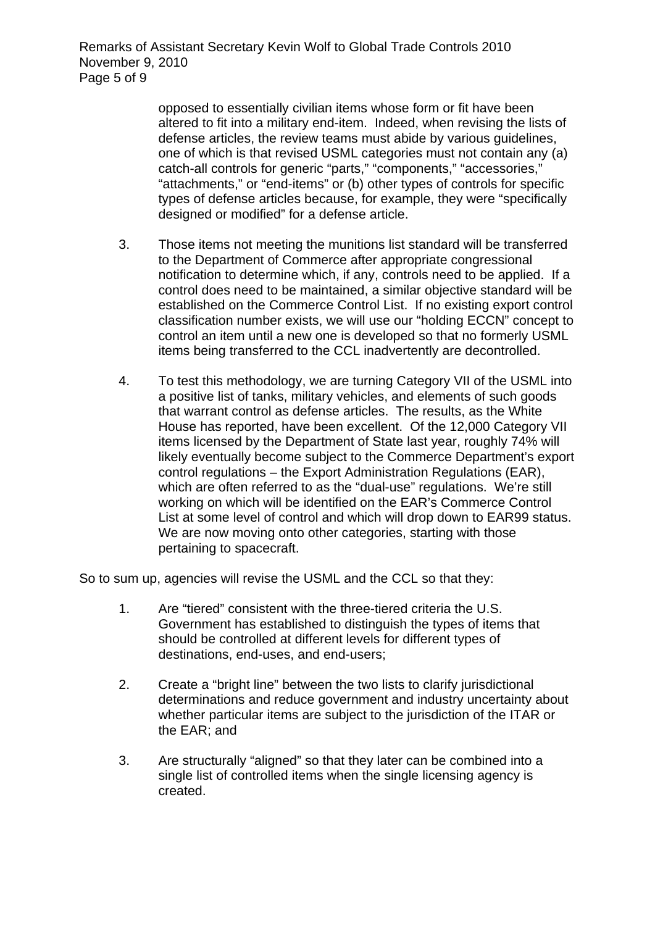Remarks of Assistant Secretary Kevin Wolf to Global Trade Controls 2010 November 9, 2010 Page 5 of 9

> opposed to essentially civilian items whose form or fit have been altered to fit into a military end-item. Indeed, when revising the lists of defense articles, the review teams must abide by various guidelines, one of which is that revised USML categories must not contain any (a) catch-all controls for generic "parts," "components," "accessories," "attachments," or "end-items" or (b) other types of controls for specific types of defense articles because, for example, they were "specifically designed or modified" for a defense article.

- 3. Those items not meeting the munitions list standard will be transferred to the Department of Commerce after appropriate congressional notification to determine which, if any, controls need to be applied. If a control does need to be maintained, a similar objective standard will be established on the Commerce Control List. If no existing export control classification number exists, we will use our "holding ECCN" concept to control an item until a new one is developed so that no formerly USML items being transferred to the CCL inadvertently are decontrolled.
- 4. To test this methodology, we are turning Category VII of the USML into a positive list of tanks, military vehicles, and elements of such goods that warrant control as defense articles. The results, as the White House has reported, have been excellent. Of the 12,000 Category VII items licensed by the Department of State last year, roughly 74% will likely eventually become subject to the Commerce Department's export control regulations – the Export Administration Regulations (EAR), which are often referred to as the "dual-use" regulations. We're still working on which will be identified on the EAR's Commerce Control List at some level of control and which will drop down to EAR99 status. We are now moving onto other categories, starting with those pertaining to spacecraft.

So to sum up, agencies will revise the USML and the CCL so that they:

- 1. Are "tiered" consistent with the three-tiered criteria the U.S. Government has established to distinguish the types of items that should be controlled at different levels for different types of destinations, end-uses, and end-users;
- 2. Create a "bright line" between the two lists to clarify jurisdictional determinations and reduce government and industry uncertainty about whether particular items are subject to the jurisdiction of the ITAR or the EAR; and
- 3. Are structurally "aligned" so that they later can be combined into a single list of controlled items when the single licensing agency is created.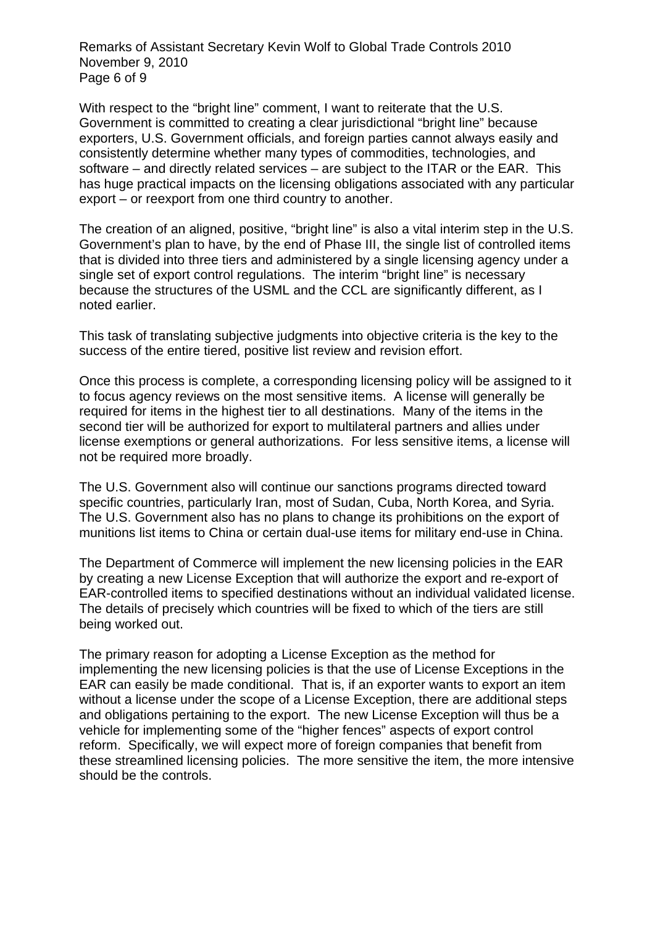Remarks of Assistant Secretary Kevin Wolf to Global Trade Controls 2010 November 9, 2010 Page 6 of 9

With respect to the "bright line" comment. I want to reiterate that the U.S. Government is committed to creating a clear jurisdictional "bright line" because exporters, U.S. Government officials, and foreign parties cannot always easily and consistently determine whether many types of commodities, technologies, and software – and directly related services – are subject to the ITAR or the EAR. This has huge practical impacts on the licensing obligations associated with any particular export – or reexport from one third country to another.

The creation of an aligned, positive, "bright line" is also a vital interim step in the U.S. Government's plan to have, by the end of Phase III, the single list of controlled items that is divided into three tiers and administered by a single licensing agency under a single set of export control regulations. The interim "bright line" is necessary because the structures of the USML and the CCL are significantly different, as I noted earlier.

This task of translating subjective judgments into objective criteria is the key to the success of the entire tiered, positive list review and revision effort.

Once this process is complete, a corresponding licensing policy will be assigned to it to focus agency reviews on the most sensitive items. A license will generally be required for items in the highest tier to all destinations. Many of the items in the second tier will be authorized for export to multilateral partners and allies under license exemptions or general authorizations. For less sensitive items, a license will not be required more broadly.

The U.S. Government also will continue our sanctions programs directed toward specific countries, particularly Iran, most of Sudan, Cuba, North Korea, and Syria. The U.S. Government also has no plans to change its prohibitions on the export of munitions list items to China or certain dual-use items for military end-use in China.

The Department of Commerce will implement the new licensing policies in the EAR by creating a new License Exception that will authorize the export and re-export of EAR-controlled items to specified destinations without an individual validated license. The details of precisely which countries will be fixed to which of the tiers are still being worked out.

The primary reason for adopting a License Exception as the method for implementing the new licensing policies is that the use of License Exceptions in the EAR can easily be made conditional. That is, if an exporter wants to export an item without a license under the scope of a License Exception, there are additional steps and obligations pertaining to the export. The new License Exception will thus be a vehicle for implementing some of the "higher fences" aspects of export control reform. Specifically, we will expect more of foreign companies that benefit from these streamlined licensing policies. The more sensitive the item, the more intensive should be the controls.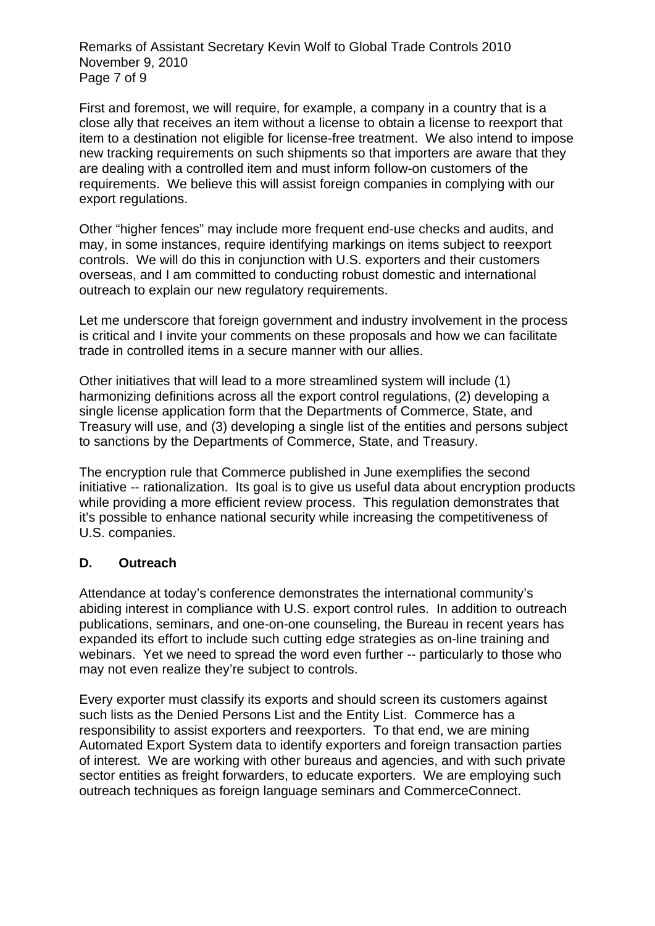Remarks of Assistant Secretary Kevin Wolf to Global Trade Controls 2010 November 9, 2010 Page 7 of 9

First and foremost, we will require, for example, a company in a country that is a close ally that receives an item without a license to obtain a license to reexport that item to a destination not eligible for license-free treatment. We also intend to impose new tracking requirements on such shipments so that importers are aware that they are dealing with a controlled item and must inform follow-on customers of the requirements. We believe this will assist foreign companies in complying with our export regulations.

Other "higher fences" may include more frequent end-use checks and audits, and may, in some instances, require identifying markings on items subject to reexport controls. We will do this in conjunction with U.S. exporters and their customers overseas, and I am committed to conducting robust domestic and international outreach to explain our new regulatory requirements.

Let me underscore that foreign government and industry involvement in the process is critical and I invite your comments on these proposals and how we can facilitate trade in controlled items in a secure manner with our allies.

Other initiatives that will lead to a more streamlined system will include (1) harmonizing definitions across all the export control regulations, (2) developing a single license application form that the Departments of Commerce, State, and Treasury will use, and (3) developing a single list of the entities and persons subject to sanctions by the Departments of Commerce, State, and Treasury.

The encryption rule that Commerce published in June exemplifies the second initiative -- rationalization. Its goal is to give us useful data about encryption products while providing a more efficient review process. This regulation demonstrates that it's possible to enhance national security while increasing the competitiveness of U.S. companies.

#### **D. Outreach**

Attendance at today's conference demonstrates the international community's abiding interest in compliance with U.S. export control rules. In addition to outreach publications, seminars, and one-on-one counseling, the Bureau in recent years has expanded its effort to include such cutting edge strategies as on-line training and webinars. Yet we need to spread the word even further -- particularly to those who may not even realize they're subject to controls.

Every exporter must classify its exports and should screen its customers against such lists as the Denied Persons List and the Entity List. Commerce has a responsibility to assist exporters and reexporters. To that end, we are mining Automated Export System data to identify exporters and foreign transaction parties of interest. We are working with other bureaus and agencies, and with such private sector entities as freight forwarders, to educate exporters. We are employing such outreach techniques as foreign language seminars and CommerceConnect.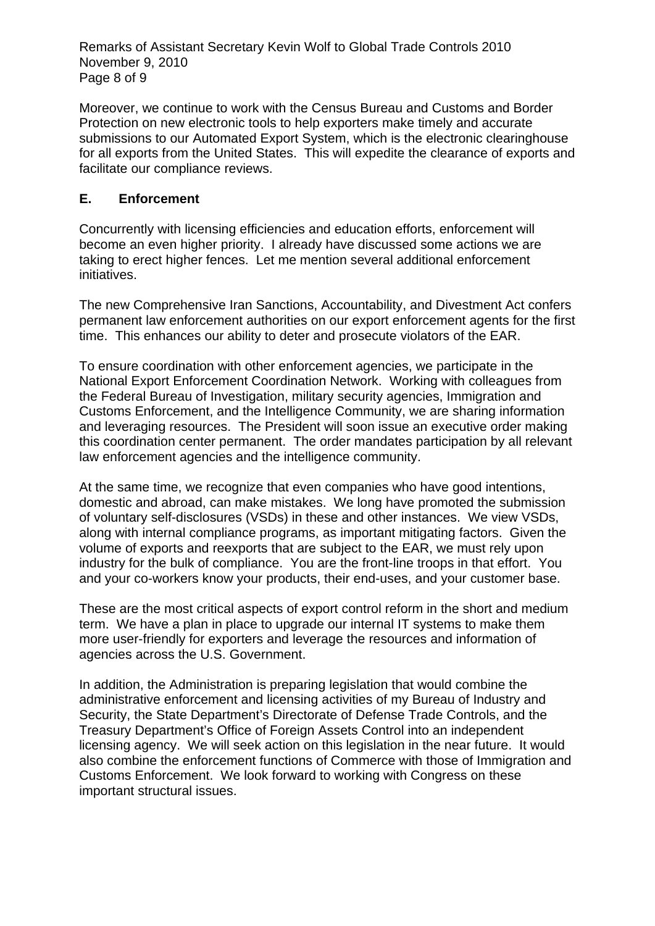Remarks of Assistant Secretary Kevin Wolf to Global Trade Controls 2010 November 9, 2010 Page 8 of 9

Moreover, we continue to work with the Census Bureau and Customs and Border Protection on new electronic tools to help exporters make timely and accurate submissions to our Automated Export System, which is the electronic clearinghouse for all exports from the United States. This will expedite the clearance of exports and facilitate our compliance reviews.

## **E. Enforcement**

Concurrently with licensing efficiencies and education efforts, enforcement will become an even higher priority. I already have discussed some actions we are taking to erect higher fences. Let me mention several additional enforcement initiatives.

The new Comprehensive Iran Sanctions, Accountability, and Divestment Act confers permanent law enforcement authorities on our export enforcement agents for the first time. This enhances our ability to deter and prosecute violators of the EAR.

To ensure coordination with other enforcement agencies, we participate in the National Export Enforcement Coordination Network. Working with colleagues from the Federal Bureau of Investigation, military security agencies, Immigration and Customs Enforcement, and the Intelligence Community, we are sharing information and leveraging resources. The President will soon issue an executive order making this coordination center permanent. The order mandates participation by all relevant law enforcement agencies and the intelligence community.

At the same time, we recognize that even companies who have good intentions, domestic and abroad, can make mistakes. We long have promoted the submission of voluntary self-disclosures (VSDs) in these and other instances. We view VSDs, along with internal compliance programs, as important mitigating factors. Given the volume of exports and reexports that are subject to the EAR, we must rely upon industry for the bulk of compliance. You are the front-line troops in that effort. You and your co-workers know your products, their end-uses, and your customer base.

These are the most critical aspects of export control reform in the short and medium term. We have a plan in place to upgrade our internal IT systems to make them more user-friendly for exporters and leverage the resources and information of agencies across the U.S. Government.

In addition, the Administration is preparing legislation that would combine the administrative enforcement and licensing activities of my Bureau of Industry and Security, the State Department's Directorate of Defense Trade Controls, and the Treasury Department's Office of Foreign Assets Control into an independent licensing agency. We will seek action on this legislation in the near future. It would also combine the enforcement functions of Commerce with those of Immigration and Customs Enforcement. We look forward to working with Congress on these important structural issues.